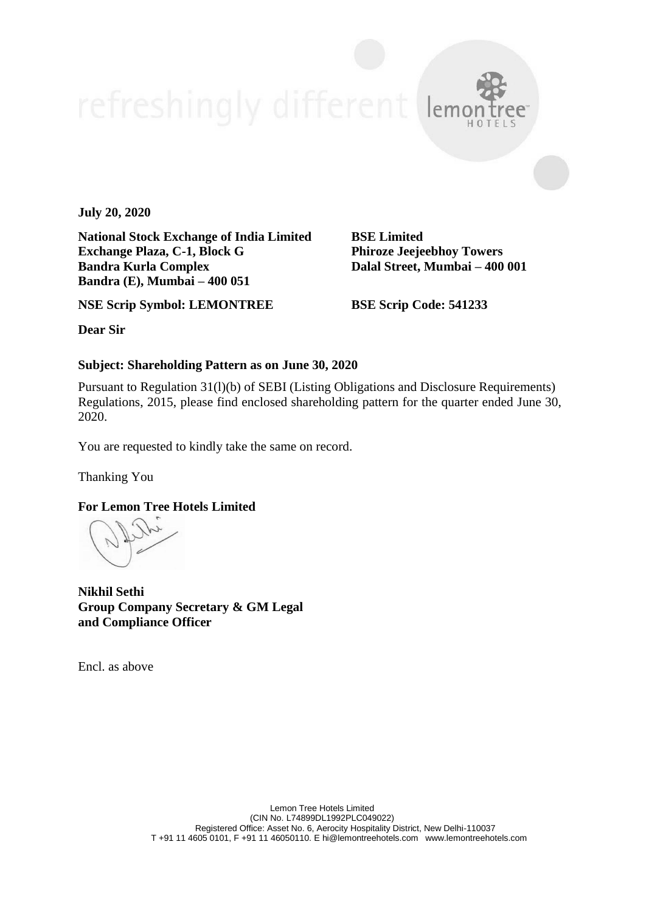**July 20, 2020**

**National Stock Exchange of India Limited BSE Limited Exchange Plaza, C-1, Block G Phiroze Jeejeebhoy Towers Bandra Kurla Complex Dalal Street, Mumbai – 400 001 Bandra (E), Mumbai – 400 051**

lem

**NSE Scrip Symbol: LEMONTREE BSE Scrip Code: 541233**

**Dear Sir**

#### **Subject: Shareholding Pattern as on June 30, 2020**

Pursuant to Regulation 31(l)(b) of SEBI (Listing Obligations and Disclosure Requirements) Regulations, 2015, please find enclosed shareholding pattern for the quarter ended June 30, 2020.

You are requested to kindly take the same on record.

Thanking You

#### **For Lemon Tree Hotels Limited**

**Nikhil Sethi Group Company Secretary & GM Legal and Compliance Officer**

Encl. as above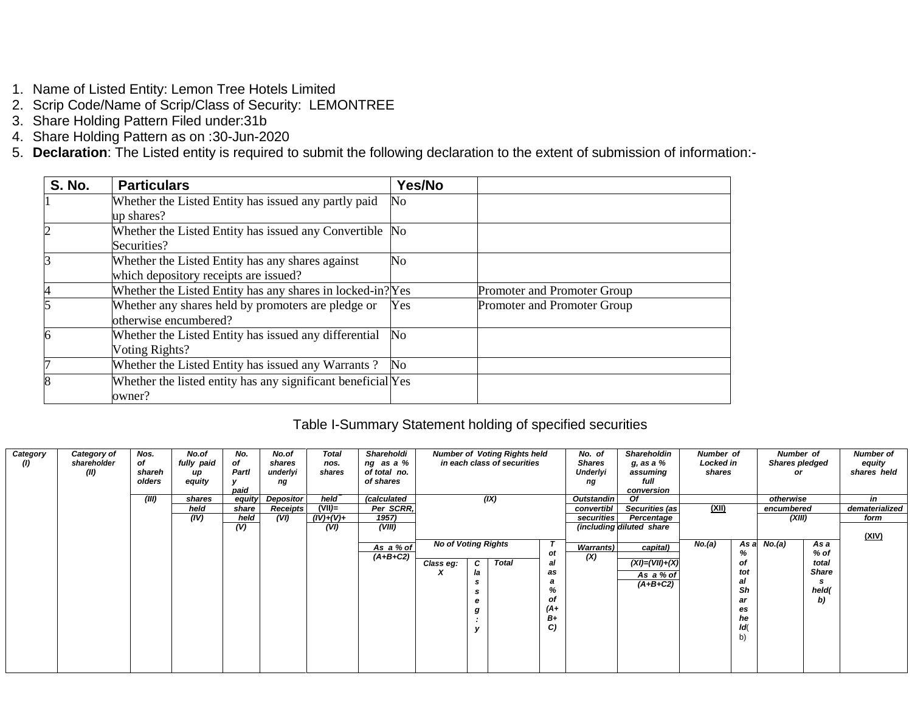- 1. Name of Listed Entity: Lemon Tree Hotels Limited
- 2. Scrip Code/Name of Scrip/Class of Security: LEMONTREE
- 3. Share Holding Pattern Filed under:31b
- 4. Share Holding Pattern as on :30-Jun-2020
- 5. **Declaration**: The Listed entity is required to submit the following declaration to the extent of submission of information:-

| <b>S. No.</b> | <b>Particulars</b>                                           | Yes/No   |                             |
|---------------|--------------------------------------------------------------|----------|-----------------------------|
|               | Whether the Listed Entity has issued any partly paid         | No       |                             |
|               | up shares?                                                   |          |                             |
| 2             | Whether the Listed Entity has issued any Convertible No      |          |                             |
|               | Securities?                                                  |          |                             |
|               | Whether the Listed Entity has any shares against             | No       |                             |
|               | which depository receipts are issued?                        |          |                             |
| 4             | Whether the Listed Entity has any shares in locked-in? Yes   |          | Promoter and Promoter Group |
|               | Whether any shares held by promoters are pledge or           | Yes      | Promoter and Promoter Group |
|               | otherwise encumbered?                                        |          |                             |
| 6             | Whether the Listed Entity has issued any differential        | $\rm No$ |                             |
|               | Voting Rights?                                               |          |                             |
| 17            | Whether the Listed Entity has issued any Warrants?           | No.      |                             |
| 8             | Whether the listed entity has any significant beneficial Yes |          |                             |
|               | owner?                                                       |          |                             |

### Table I-Summary Statement holding of specified securities

| Category<br>$\left( I\right)$ | Category of<br>shareholder<br>(II) | Nos.<br>of<br>shareh<br>olders | No.of<br>fully paid<br>up<br>equity | No.<br>of<br>Partl<br>v<br>paid | No.of<br>shares<br>underlyi<br>ng | <b>Total</b><br>nos.<br>shares | Shareholdi<br>ng as a %<br>of total no.<br>of shares |                                         |                             | <b>Number of Voting Rights held</b><br>in each class of securities |                                                              | No. of<br><b>Shares</b><br>Underlyi<br>ng | <b>Shareholdin</b><br>g, as a %<br>assuming<br>full<br>conversion                       | Number of<br>Locked in<br>shares |                                                                   | Number of<br><b>Shares pledged</b><br>or |                                                                  | <b>Number of</b><br>equity<br>shares held |
|-------------------------------|------------------------------------|--------------------------------|-------------------------------------|---------------------------------|-----------------------------------|--------------------------------|------------------------------------------------------|-----------------------------------------|-----------------------------|--------------------------------------------------------------------|--------------------------------------------------------------|-------------------------------------------|-----------------------------------------------------------------------------------------|----------------------------------|-------------------------------------------------------------------|------------------------------------------|------------------------------------------------------------------|-------------------------------------------|
|                               |                                    | (III)                          | shares                              | equity                          | <b>Depositor</b>                  | held                           | (calculated                                          |                                         |                             | (IX)                                                               |                                                              | <b>Outstandin</b>                         | Οf                                                                                      |                                  |                                                                   | otherwise                                |                                                                  | in                                        |
|                               |                                    |                                | held                                | share                           | <b>Receipts</b>                   | $(VII)$ =                      | Per SCRR,                                            |                                         |                             |                                                                    |                                                              | convertibl                                | Securities (as                                                                          | (XII)                            |                                                                   | encumbered                               |                                                                  | dematerialized                            |
|                               |                                    |                                | (IV)                                | held                            | (VI)                              | $(IV)+(V)+$                    | 1957)                                                |                                         |                             |                                                                    |                                                              | securities                                | Percentage                                                                              |                                  |                                                                   | (XIII)                                   |                                                                  | form                                      |
|                               |                                    |                                |                                     | (V)                             |                                   | (VI)                           | (VIII)<br>As a % of<br>$(A+B+C2)$                    | <b>No of Voting Rights</b><br>Class eg: | C<br>la<br>s<br>s<br>е<br>g | <b>Total</b>                                                       | οt<br>al<br>as<br>а<br>%<br>οf<br>$(A+)$<br><b>B</b> +<br>C) | <b>Warrants</b> )<br>(X)                  | (including diluted share<br>capital)<br>$(XI) = (VII) + (X)$<br>As a % of<br>$(A+B+C2)$ | No.(a)                           | As a<br>%<br>οf<br>tot<br>al<br>Sh<br>ar<br>es<br>he<br>ld(<br>b) | No.(a)                                   | As a<br>% of<br>total<br><b>Share</b><br><b>s</b><br>held(<br>b) | <u>(XIV)</u>                              |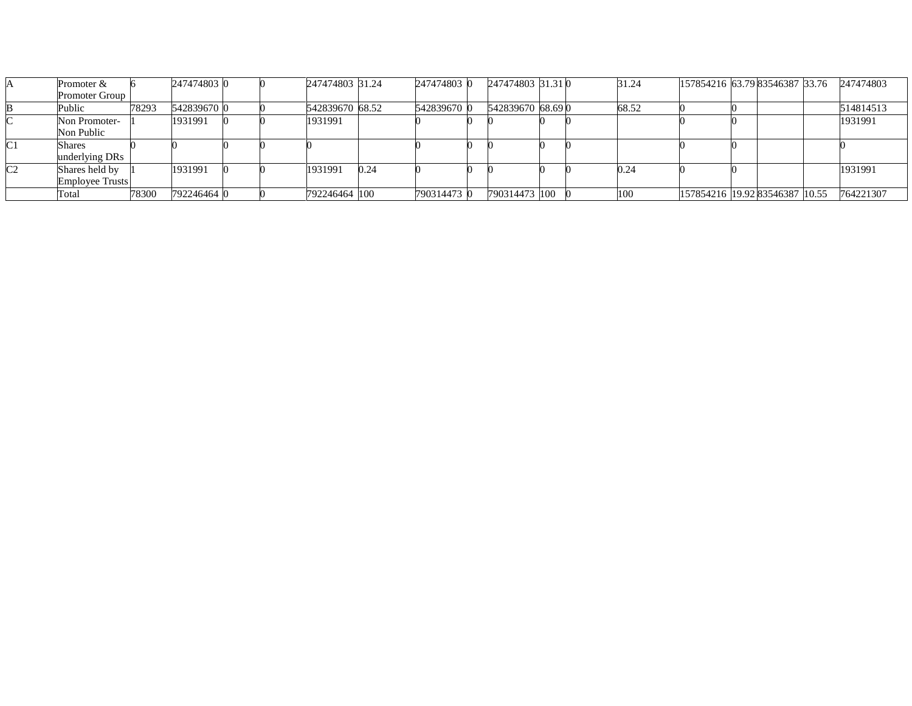|                | Promoter $&$           |       | 247474803 0 |  | 247474803 31.24 |      | 247474803   | 247474803 31.31 0 |  | 31.24 | 157854216 63.79 83546387 33.76 |  | 247474803 |
|----------------|------------------------|-------|-------------|--|-----------------|------|-------------|-------------------|--|-------|--------------------------------|--|-----------|
|                | <b>Promoter Group</b>  |       |             |  |                 |      |             |                   |  |       |                                |  |           |
|                | Public                 | 78293 | 542839670 0 |  | 542839670 68.52 |      | 542839670 0 | 542839670 68.690  |  | 68.52 |                                |  | 514814513 |
|                | Non Promoter-          |       | 1931991     |  | 1931991         |      |             |                   |  |       |                                |  | 1931991   |
|                | Non Public             |       |             |  |                 |      |             |                   |  |       |                                |  |           |
|                | Shares                 |       |             |  |                 |      |             |                   |  |       |                                |  |           |
|                | underlying DRs         |       |             |  |                 |      |             |                   |  |       |                                |  |           |
| C <sub>2</sub> | Shares held by         |       | 1931991     |  | 1931991         | 0.24 |             |                   |  | 0.24  |                                |  | 1931991   |
|                | <b>Employee Trusts</b> |       |             |  |                 |      |             |                   |  |       |                                |  |           |
|                | Total                  | 78300 | 792246464 0 |  | 792246464 100   |      | 790314473 0 | 790314473 100     |  |       | 157854216 19.92 83546387 10.55 |  | 764221307 |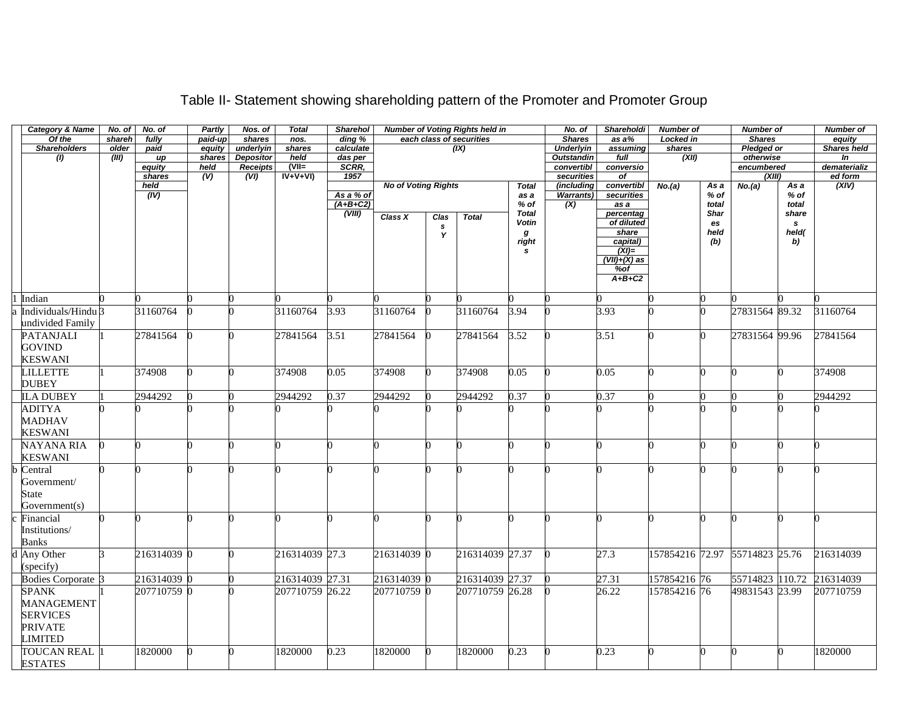| <b>Category &amp; Name</b>     | No. of | No. of           | Partly         | Nos. of                 | <b>Total</b>           | Sharehol         |                            |      | <b>Number of Voting Rights held in</b> |              | No. of                          | <b>Shareholdi</b>   | <b>Number of</b>               |       | <b>Number of</b>        |        | <b>Number of</b>               |
|--------------------------------|--------|------------------|----------------|-------------------------|------------------------|------------------|----------------------------|------|----------------------------------------|--------------|---------------------------------|---------------------|--------------------------------|-------|-------------------------|--------|--------------------------------|
| Of the                         | shareh | fully            | paid-up        | shares                  | nos.                   | ding %           |                            |      | each class of securities               |              | <b>Shares</b>                   | as a%               | Locked in                      |       | <b>Shares</b>           |        | equity                         |
| <b>Shareholders</b>            | older  | paid             | equity         | underlyin               | shares                 | calculate        |                            |      | (IX)                                   |              | <b>Underlyin</b>                | assuming            | shares                         |       | <b>Pledged or</b>       |        | <b>Shares held</b>             |
| (1)                            | (III)  | up               | shares<br>held | <b>Depositor</b>        | held<br>$\overline{N}$ | das per<br>SCRR, |                            |      |                                        |              | <b>Outstandin</b><br>convertibl | full<br>conversio   | (XII)                          |       | otherwise<br>encumbered |        | $\overline{m}$<br>dematerializ |
|                                |        | equity<br>shares | (V)            | <b>Receipts</b><br>(VI) | $IV+V+VI$              | 1957             |                            |      |                                        |              | securities                      | of                  |                                |       | (XIII)                  |        | ed form                        |
|                                |        | held             |                |                         |                        |                  | <b>No of Voting Rights</b> |      |                                        | <b>Total</b> | (including                      | convertibl          | No.(a)                         | As a  | No.(a)                  | As a   | (XIV)                          |
|                                |        | (IV)             |                |                         |                        | As a % of        |                            |      |                                        | as a         | <b>Warrants)</b>                | securities          |                                | % of  |                         | $%$ of |                                |
|                                |        |                  |                |                         |                        | $(A+B+C2)$       |                            |      |                                        | $%$ of       | $\overline{(\mathsf{X})}$       | as a                |                                | total |                         | total  |                                |
|                                |        |                  |                |                         |                        | (VIII)           | Class X                    | Clas | <b>Total</b>                           | <b>Total</b> |                                 | percentag           |                                | Shar  |                         | share  |                                |
|                                |        |                  |                |                         |                        |                  |                            | s    |                                        | Votin        |                                 | of diluted          |                                | es    |                         | s      |                                |
|                                |        |                  |                |                         |                        |                  |                            | Y    |                                        | g            |                                 | share               |                                | held  |                         | held(  |                                |
|                                |        |                  |                |                         |                        |                  |                            |      |                                        | right<br>s   |                                 | capital)<br>$(XI)=$ |                                | (b)   |                         | b)     |                                |
|                                |        |                  |                |                         |                        |                  |                            |      |                                        |              |                                 | $(VII)+(X)$ as      |                                |       |                         |        |                                |
|                                |        |                  |                |                         |                        |                  |                            |      |                                        |              |                                 | $%$ of              |                                |       |                         |        |                                |
|                                |        |                  |                |                         |                        |                  |                            |      |                                        |              |                                 | $A+B+C2$            |                                |       |                         |        |                                |
|                                |        |                  |                |                         |                        |                  |                            |      |                                        |              |                                 |                     |                                |       |                         |        |                                |
| Indian                         |        |                  |                |                         |                        |                  |                            |      |                                        |              |                                 |                     |                                |       |                         |        |                                |
| Individuals/Hindu <sup>3</sup> |        | 31160764         |                |                         | 31160764               | $\frac{1}{3.93}$ | 31160764                   |      | 31160764                               | 3.94         |                                 | 3.93                |                                |       | 27831564 89.32          |        | 31160764                       |
| undivided Family               |        |                  |                |                         |                        |                  |                            |      |                                        |              |                                 |                     |                                |       |                         |        |                                |
| <b>PATANJALI</b>               |        | 27841564         |                |                         | 27841564               | 3.51             | 27841564                   |      | 27841564                               | 3.52         |                                 | 3.51                |                                | 0     | 27831564 99.96          |        | 27841564                       |
| <b>GOVIND</b>                  |        |                  |                |                         |                        |                  |                            |      |                                        |              |                                 |                     |                                |       |                         |        |                                |
| <b>KESWANI</b>                 |        |                  |                |                         |                        |                  |                            |      |                                        |              |                                 |                     |                                |       |                         |        |                                |
|                                |        |                  |                |                         |                        |                  |                            |      |                                        |              |                                 |                     |                                |       |                         |        |                                |
| <b>LILLETTE</b>                |        | 374908           |                |                         | 374908                 | 0.05             | 374908                     | U    | 374908                                 | 0.05         |                                 | 0.05                |                                | 0     |                         |        | 374908                         |
| <b>DUBEY</b>                   |        |                  |                |                         |                        |                  |                            |      |                                        |              |                                 |                     |                                |       |                         |        |                                |
| <b>ILA DUBEY</b>               |        | 2944292          |                |                         | 2944292                | 0.37             | 2944292                    |      | 2944292                                | 0.37         |                                 | 0.37                |                                |       |                         |        | 2944292                        |
| <b>ADITYA</b>                  |        |                  |                |                         |                        |                  |                            |      |                                        |              |                                 |                     |                                |       |                         |        |                                |
| <b>MADHAV</b>                  |        |                  |                |                         |                        |                  |                            |      |                                        |              |                                 |                     |                                |       |                         |        |                                |
| <b>KESWANI</b>                 |        |                  |                |                         |                        |                  |                            |      |                                        |              |                                 |                     |                                |       |                         |        |                                |
| NAYANA RIA                     |        |                  |                |                         |                        |                  |                            |      |                                        |              |                                 |                     |                                | 0     |                         |        |                                |
| <b>KESWANI</b>                 |        |                  |                |                         |                        |                  |                            |      |                                        |              |                                 |                     |                                |       |                         |        |                                |
|                                |        |                  |                |                         |                        |                  |                            |      |                                        |              |                                 |                     |                                |       |                         |        |                                |
| Central                        |        |                  |                |                         |                        |                  |                            |      |                                        |              |                                 |                     |                                |       |                         |        |                                |
| Government/                    |        |                  |                |                         |                        |                  |                            |      |                                        |              |                                 |                     |                                |       |                         |        |                                |
| State                          |        |                  |                |                         |                        |                  |                            |      |                                        |              |                                 |                     |                                |       |                         |        |                                |
| Government(s)                  |        |                  |                |                         |                        |                  |                            |      |                                        |              |                                 |                     |                                |       |                         |        |                                |
| Financial                      |        | n                |                |                         |                        |                  |                            |      |                                        |              |                                 |                     | ∩                              | 0     |                         |        |                                |
| Institutions/                  |        |                  |                |                         |                        |                  |                            |      |                                        |              |                                 |                     |                                |       |                         |        |                                |
| <b>Banks</b>                   |        |                  |                |                         |                        |                  |                            |      |                                        |              |                                 |                     |                                |       |                         |        |                                |
| <b>Any Other</b>               |        | 216314039 0      |                |                         | 216314039 27.3         |                  | 216314039 0                |      | 216314039 27.37                        |              |                                 | 27.3                | 157854216 72.97 55714823 25.76 |       |                         |        | 216314039                      |
| (specify)                      |        |                  |                |                         |                        |                  |                            |      |                                        |              |                                 |                     |                                |       |                         |        |                                |
|                                |        |                  |                |                         |                        |                  |                            |      |                                        |              |                                 |                     |                                |       |                         |        |                                |
| <b>Bodies Corporate 3</b>      |        | 216314039 0      |                |                         | 216314039 27.31        |                  | 216314039 0                |      | 216314039 27.37                        |              |                                 | 27.31               | 157854216 76                   |       | 55714823 110.72         |        | 216314039                      |
| <b>SPANK</b>                   |        | 207710759 0      |                |                         | 207710759 26.22        |                  | 207710759 0                |      | 207710759 26.28                        |              |                                 | 26.22               | 157854216 76                   |       | 49831543 23.99          |        | 207710759                      |
| <b>MANAGEMENT</b>              |        |                  |                |                         |                        |                  |                            |      |                                        |              |                                 |                     |                                |       |                         |        |                                |
| <b>SERVICES</b>                |        |                  |                |                         |                        |                  |                            |      |                                        |              |                                 |                     |                                |       |                         |        |                                |
| <b>PRIVATE</b>                 |        |                  |                |                         |                        |                  |                            |      |                                        |              |                                 |                     |                                |       |                         |        |                                |
| <b>LIMITED</b>                 |        |                  |                |                         |                        |                  |                            |      |                                        |              |                                 |                     |                                |       |                         |        |                                |
| <b>TOUCAN REAL</b> 1           |        | 1820000          |                |                         | 1820000                | 0.23             | 1820000                    |      | 1820000                                | 0.23         |                                 | 0.23                |                                |       |                         |        | 1820000                        |
| <b>ESTATES</b>                 |        |                  |                |                         |                        |                  |                            |      |                                        |              |                                 |                     |                                |       |                         |        |                                |

## Table II- Statement showing shareholding pattern of the Promoter and Promoter Group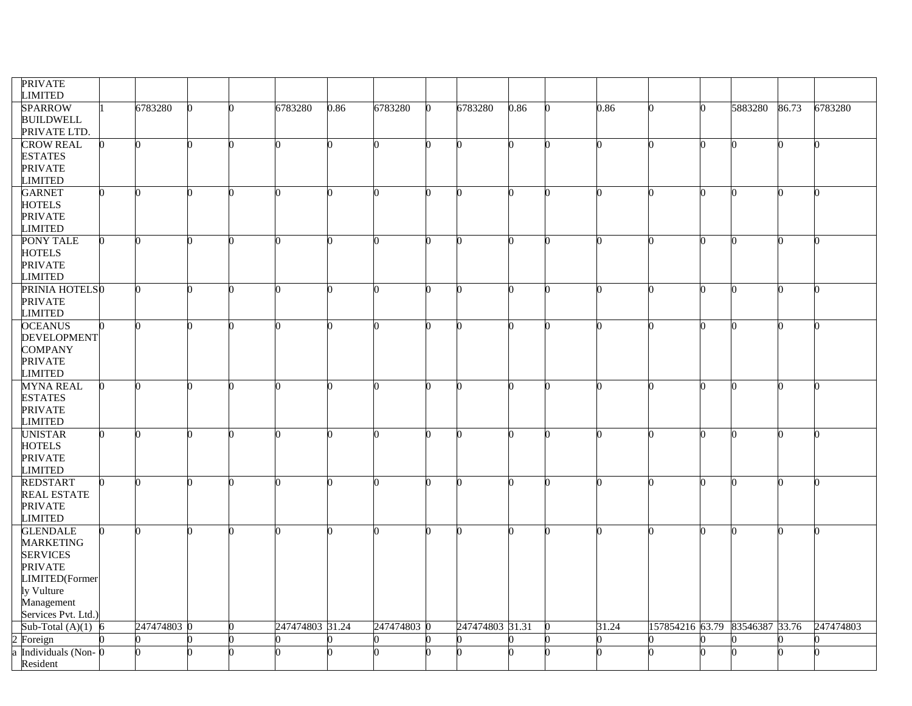| <b>PRIVATE</b><br><b>LIMITED</b>   |           |   |                 |      |           |                 |              |       |                                |         |       |           |
|------------------------------------|-----------|---|-----------------|------|-----------|-----------------|--------------|-------|--------------------------------|---------|-------|-----------|
| <b>SPARROW</b>                     | 6783280   |   | 6783280         | 0.86 | 6783280   | 6783280         | 0.86         | 0.86  |                                | 5883280 | 86.73 | 6783280   |
| <b>BUILDWELL</b>                   |           |   |                 |      |           |                 |              |       |                                |         |       |           |
| PRIVATE LTD.                       |           |   |                 |      |           |                 |              |       |                                |         |       |           |
| <b>CROW REAL</b>                   |           |   |                 |      |           |                 | n            |       |                                | n       |       |           |
| <b>ESTATES</b>                     |           |   |                 |      |           |                 |              |       |                                |         |       |           |
| <b>PRIVATE</b>                     |           |   |                 |      |           |                 |              |       |                                |         |       |           |
| <b>LIMITED</b>                     |           |   |                 |      |           |                 |              |       |                                |         |       |           |
| <b>GARNET</b>                      |           |   |                 |      |           |                 |              |       |                                |         |       |           |
| <b>HOTELS</b>                      |           |   |                 |      |           |                 |              |       |                                |         |       |           |
| <b>PRIVATE</b>                     |           |   |                 |      |           |                 |              |       |                                |         |       |           |
| <b>LIMITED</b>                     |           |   |                 |      |           |                 |              |       |                                |         |       |           |
| <b>PONY TALE</b>                   |           |   |                 |      |           |                 |              |       |                                |         |       |           |
| <b>HOTELS</b>                      |           |   |                 |      |           |                 |              |       |                                |         |       |           |
| <b>PRIVATE</b>                     |           |   |                 |      |           |                 |              |       |                                |         |       |           |
| <b>LIMITED</b>                     |           |   |                 |      |           |                 |              |       |                                |         |       |           |
| PRINIA HOTELS0                     |           | ሰ | ገ               |      |           |                 | U            |       |                                | n       | ሰ     |           |
| <b>PRIVATE</b>                     |           |   |                 |      |           |                 |              |       |                                |         |       |           |
| <b>LIMITED</b>                     |           |   |                 |      |           |                 |              |       |                                |         |       |           |
| <b>OCEANUS</b>                     |           |   |                 |      |           |                 |              |       |                                |         |       |           |
| DEVELOPMENT                        |           |   |                 |      |           |                 |              |       |                                |         |       |           |
| <b>COMPANY</b>                     |           |   |                 |      |           |                 |              |       |                                |         |       |           |
| <b>PRIVATE</b>                     |           |   |                 |      |           |                 |              |       |                                |         |       |           |
| <b>LIMITED</b><br><b>MYNA REAL</b> |           |   |                 |      |           |                 |              |       |                                | n       |       |           |
| <b>ESTATES</b>                     |           |   |                 |      |           |                 |              |       |                                |         |       |           |
| <b>PRIVATE</b>                     |           |   |                 |      |           |                 |              |       |                                |         |       |           |
| <b>LIMITED</b>                     |           |   |                 |      |           |                 |              |       |                                |         |       |           |
| <b>UNISTAR</b>                     |           |   |                 |      |           |                 |              |       |                                |         |       |           |
| <b>HOTELS</b>                      |           |   |                 |      |           |                 |              |       |                                |         |       |           |
| <b>PRIVATE</b>                     |           |   |                 |      |           |                 |              |       |                                |         |       |           |
| <b>LIMITED</b>                     |           |   |                 |      |           |                 |              |       |                                |         |       |           |
| <b>REDSTART</b>                    |           |   |                 |      |           | ∩               | <sup>0</sup> |       |                                | n       |       | ∩         |
| <b>REAL ESTATE</b>                 |           |   |                 |      |           |                 |              |       |                                |         |       |           |
| <b>PRIVATE</b>                     |           |   |                 |      |           |                 |              |       |                                |         |       |           |
| <b>LIMITED</b>                     |           |   |                 |      |           |                 |              |       |                                |         |       |           |
| <b>GLENDALE</b>                    |           |   |                 |      |           |                 |              |       |                                | n       |       |           |
| <b>MARKETING</b>                   |           |   |                 |      |           |                 |              |       |                                |         |       |           |
| <b>SERVICES</b>                    |           |   |                 |      |           |                 |              |       |                                |         |       |           |
| <b>PRIVATE</b>                     |           |   |                 |      |           |                 |              |       |                                |         |       |           |
| LIMITED(Former                     |           |   |                 |      |           |                 |              |       |                                |         |       |           |
| ly Vulture                         |           |   |                 |      |           |                 |              |       |                                |         |       |           |
| Management                         |           |   |                 |      |           |                 |              |       |                                |         |       |           |
| Services Pvt. Ltd.)                |           |   |                 |      |           |                 |              |       |                                |         |       |           |
| Sub-Total $(A)(1)$                 | 247474803 |   | 247474803 31.24 |      | 247474803 | 247474803 31.31 |              | 31.24 | 157854216 63.79 83546387 33.76 |         |       | 247474803 |
| Foreign                            |           |   |                 |      |           |                 |              |       |                                |         |       |           |
| Individuals (Non-                  |           |   |                 |      |           |                 |              |       |                                |         |       |           |
| Resident                           |           |   |                 |      |           |                 |              |       |                                |         |       |           |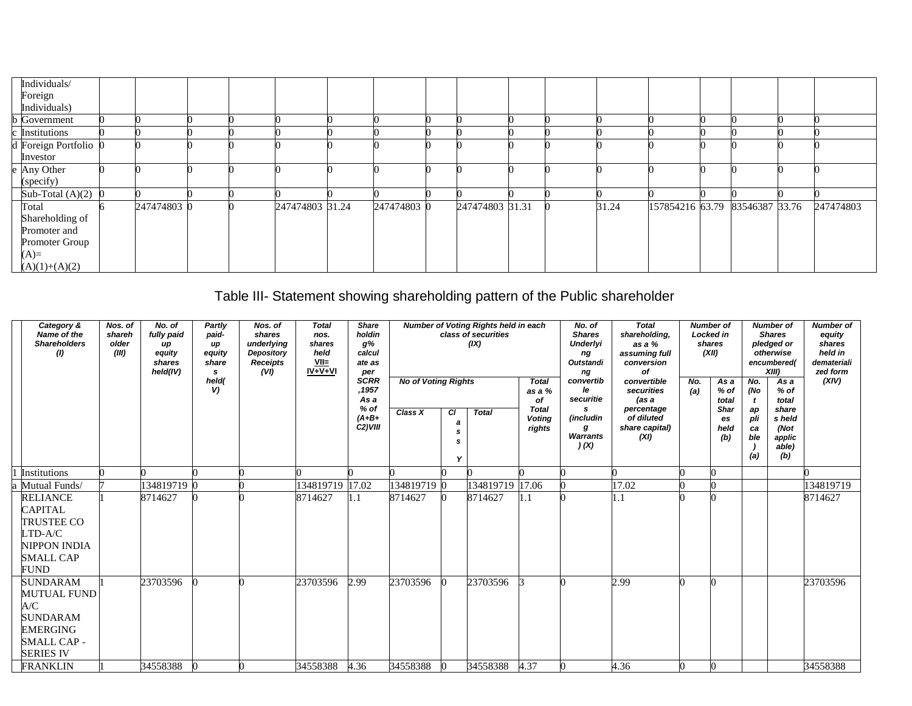| Individuals/                       |             |  |                 |             |                 |  |       |                                |  |           |
|------------------------------------|-------------|--|-----------------|-------------|-----------------|--|-------|--------------------------------|--|-----------|
| Foreign<br>Individuals)            |             |  |                 |             |                 |  |       |                                |  |           |
| <b>b</b> Government                |             |  |                 |             |                 |  |       |                                |  |           |
| c Institutions                     |             |  |                 |             |                 |  |       |                                |  |           |
| d Foreign Portfolio $\overline{0}$ |             |  |                 |             |                 |  |       |                                |  |           |
| Investor                           |             |  |                 |             |                 |  |       |                                |  |           |
| e Any Other                        |             |  |                 |             |                 |  |       |                                |  |           |
| (specify)                          |             |  |                 |             |                 |  |       |                                |  |           |
| Sub-Total $(A)(2)$ 0               |             |  |                 |             |                 |  |       |                                |  |           |
| Total                              | 247474803 0 |  | 247474803 31.24 | 247474803 0 | 247474803 31.31 |  | 31.24 | 157854216 63.79 83546387 33.76 |  | 247474803 |
| Shareholding of                    |             |  |                 |             |                 |  |       |                                |  |           |
| Promoter and                       |             |  |                 |             |                 |  |       |                                |  |           |
| Promoter Group                     |             |  |                 |             |                 |  |       |                                |  |           |
| $(A)=$                             |             |  |                 |             |                 |  |       |                                |  |           |
| $(A)(1)+(A)(2)$                    |             |  |                 |             |                 |  |       |                                |  |           |

# Table III- Statement showing shareholding pattern of the Public shareholder

| Category &<br>Name of the<br><b>Shareholders</b><br>(1)                                                                       | Nos. of<br>shareh<br>older<br>(III) | No. of<br>fully paid<br>up<br>equity<br>shares<br>held(IV) | Partly<br>paid-<br>иp<br>equity<br>share<br>s<br>held( | Nos. of<br>shares<br>underlying<br>Depository<br><b>Receipts</b><br>(VI) | <b>Total</b><br>nos.<br>shares<br>held<br>$VII=$<br>$IV + V + VI$ | <b>Share</b><br>holdin<br>g%<br>calcul<br>ate as<br>per<br><b>SCRR</b> |                                       |              | Number of Voting Rights held in each<br>class of securities<br>(IX) |                                                                         | No. of<br><b>Shares</b><br><b>Underlyi</b><br>ng<br>Outstandi<br>ng<br>convertib | <b>Total</b><br>shareholding,<br>as a %<br>assuming full<br>conversion<br>Οf<br>convertible | <b>Number of</b><br><b>Locked in</b><br>shares<br>(XII) |                                                           | No.                                  | <b>Number of</b><br><b>Shares</b><br>pledged or<br>otherwise<br>encumbered(<br>XIII) | <b>Number of</b><br>equity<br>shares<br>held in<br>demateriali<br>zed form<br>(XIV) |
|-------------------------------------------------------------------------------------------------------------------------------|-------------------------------------|------------------------------------------------------------|--------------------------------------------------------|--------------------------------------------------------------------------|-------------------------------------------------------------------|------------------------------------------------------------------------|---------------------------------------|--------------|---------------------------------------------------------------------|-------------------------------------------------------------------------|----------------------------------------------------------------------------------|---------------------------------------------------------------------------------------------|---------------------------------------------------------|-----------------------------------------------------------|--------------------------------------|--------------------------------------------------------------------------------------|-------------------------------------------------------------------------------------|
|                                                                                                                               |                                     |                                                            | V)                                                     |                                                                          |                                                                   | ,1957<br>As a<br>$%$ of<br>$(A+B+$<br>$C2$ ) VIII                      | <b>No of Voting Rights</b><br>Class X | СI<br>a<br>s | <b>Total</b>                                                        | <b>Total</b><br>as a %<br>оf<br><b>Total</b><br><b>Voting</b><br>rights | le<br>securitie<br>s<br>(includin<br>g<br><b>Warrants</b><br>(x)                 | securities<br>(as a<br>percentage<br>of diluted<br>share capital)<br>(XI)                   | No.<br>(a)                                              | As a<br>% of<br>total<br><b>Shar</b><br>es<br>held<br>(b) | (No<br>ap<br>pli<br>ca<br>ble<br>(a) | As a<br>$%$ of<br>total<br>share<br>s held<br>(Not<br>applic<br>able)<br>(b)         |                                                                                     |
| Institutions                                                                                                                  |                                     |                                                            |                                                        |                                                                          |                                                                   |                                                                        |                                       |              |                                                                     |                                                                         |                                                                                  |                                                                                             |                                                         |                                                           |                                      |                                                                                      |                                                                                     |
| Mutual Funds/                                                                                                                 |                                     | 134819719 0                                                |                                                        |                                                                          | 134819719 17.02                                                   |                                                                        | 134819719 0                           |              | 134819719 17.06                                                     |                                                                         |                                                                                  | 17.02                                                                                       |                                                         |                                                           |                                      |                                                                                      | 134819719                                                                           |
| <b>RELIANCE</b><br><b>CAPITAL</b><br><b>TRUSTEE CO</b><br>$LTD-A/C$<br><b>NIPPON INDIA</b><br><b>SMALL CAP</b><br><b>FUND</b> |                                     | 8714627                                                    |                                                        |                                                                          | 8714627                                                           | 1.1                                                                    | 8714627                               |              | 8714627                                                             | 1.1                                                                     |                                                                                  | 1.1                                                                                         |                                                         |                                                           |                                      |                                                                                      | 8714627                                                                             |
| <b>SUNDARAM</b><br><b>MUTUAL FUND</b><br>A/C<br>SUNDARAM<br><b>EMERGING</b><br><b>SMALL CAP -</b><br><b>SERIES IV</b>         |                                     | 23703596                                                   |                                                        |                                                                          | 23703596                                                          | 2.99                                                                   | 23703596                              |              | 23703596                                                            |                                                                         |                                                                                  | 2.99                                                                                        |                                                         |                                                           |                                      |                                                                                      | 23703596                                                                            |
| <b>FRANKLIN</b>                                                                                                               |                                     | 34558388                                                   | $\Omega$                                               |                                                                          | 34558388                                                          | 4.36                                                                   | 34558388                              |              | 34558388                                                            | 4.37                                                                    |                                                                                  | 4.36                                                                                        |                                                         |                                                           |                                      |                                                                                      | 34558388                                                                            |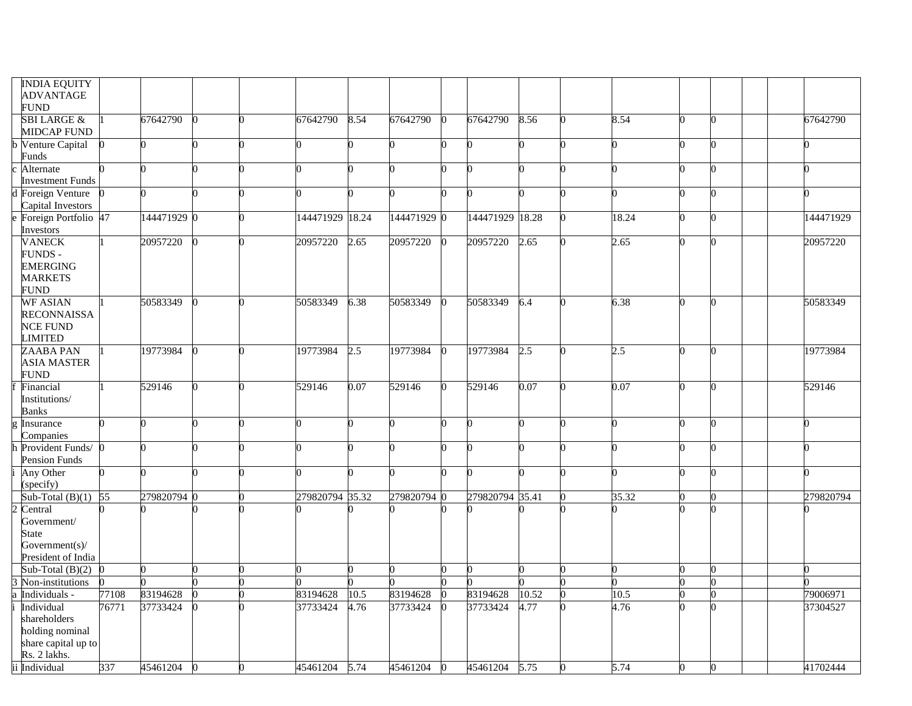| <b>INDIA EQUITY</b><br><b>ADVANTAGE</b> |       |             |   |    |                 |      |             |          |                 |       |       |  |           |
|-----------------------------------------|-------|-------------|---|----|-----------------|------|-------------|----------|-----------------|-------|-------|--|-----------|
| <b>FUND</b>                             |       |             |   |    |                 |      |             |          |                 |       |       |  |           |
| <b>SBI LARGE &amp;</b>                  |       | 67642790    |   |    | 67642790        | 8.54 | 67642790    | 0        | 67642790        | 8.56  | 8.54  |  | 67642790  |
| <b>MIDCAP FUND</b><br>b Venture Capital |       |             |   |    |                 |      |             |          | O               |       |       |  |           |
| Funds                                   |       |             |   |    |                 |      |             |          |                 |       |       |  |           |
| Alternate                               |       |             |   |    |                 |      |             |          |                 |       |       |  |           |
| <b>Investment Funds</b>                 |       |             |   |    |                 |      |             |          |                 |       |       |  |           |
| d Foreign Venture                       |       |             |   |    |                 |      |             |          |                 |       |       |  |           |
| Capital Investors                       |       |             |   |    |                 |      |             |          |                 |       |       |  |           |
| Foreign Portfolio 47<br>Investors       |       | 144471929 0 |   |    | 144471929 18.24 |      | 144471929 0 |          | 144471929       | 18.28 | 18.24 |  | 144471929 |
| <b>VANECK</b>                           |       | 20957220    |   | n  | 20957220        | 2.65 | 20957220    | $\Omega$ | 20957220        | 2.65  | 2.65  |  | 20957220  |
| <b>FUNDS -</b>                          |       |             |   |    |                 |      |             |          |                 |       |       |  |           |
| <b>EMERGING</b>                         |       |             |   |    |                 |      |             |          |                 |       |       |  |           |
| <b>MARKETS</b>                          |       |             |   |    |                 |      |             |          |                 |       |       |  |           |
| <b>FUND</b><br><b>WF ASIAN</b>          |       | 50583349    |   |    | 50583349        |      | 50583349    |          | 50583349        |       |       |  | 50583349  |
| <b>RECONNAISSA</b>                      |       |             |   |    |                 | 6.38 |             |          |                 | 6.4   | 6.38  |  |           |
| <b>NCE FUND</b>                         |       |             |   |    |                 |      |             |          |                 |       |       |  |           |
| <b>LIMITED</b>                          |       |             |   |    |                 |      |             |          |                 |       |       |  |           |
| ZAABA PAN                               |       | 19773984    |   | O  | 19773984        | 2.5  | 19773984    |          | 19773984        | 2.5   | 2.5   |  | 19773984  |
| <b>ASIA MASTER</b>                      |       |             |   |    |                 |      |             |          |                 |       |       |  |           |
| <b>FUND</b>                             |       |             |   |    |                 |      |             |          |                 |       |       |  |           |
| Financial                               |       | 529146      | 0 | O. | 529146          | 0.07 | 529146      | b.       | 529146          | 0.07  | 0.07  |  | 529146    |
| Institutions/<br><b>Banks</b>           |       |             |   |    |                 |      |             |          |                 |       |       |  |           |
| Insurance                               |       |             |   |    |                 |      |             |          |                 |       |       |  |           |
| Companies                               |       |             |   |    |                 |      |             |          |                 |       |       |  |           |
| Provident Funds/                        |       |             |   |    |                 |      |             |          | O               |       |       |  |           |
| <b>Pension Funds</b>                    |       |             |   |    |                 |      |             |          |                 |       |       |  |           |
| Any Other                               |       |             |   |    |                 |      |             |          |                 |       |       |  |           |
| (specify)                               |       |             |   |    |                 |      |             |          |                 |       |       |  |           |
| Sub-Total $(B)(1)$                      | 55    | 279820794   |   |    | 279820794 35.32 |      | 279820794 0 |          | 279820794 35.41 |       | 35.32 |  | 279820794 |
| 2 Central<br>Government/                |       |             |   |    |                 |      |             |          |                 |       |       |  |           |
| <b>State</b>                            |       |             |   |    |                 |      |             |          |                 |       |       |  |           |
| Government(s)/                          |       |             |   |    |                 |      |             |          |                 |       |       |  |           |
| President of India                      |       |             |   |    |                 |      |             |          |                 |       |       |  |           |
| Sub-Total $(B)(2)$                      |       |             |   |    |                 |      |             |          | O               |       |       |  |           |
| Non-institutions                        |       |             |   |    |                 |      |             |          |                 |       |       |  |           |
| Individuals -                           | 77108 | 83194628    |   |    | 83194628        | 10.5 | 83194628    |          | 83194628        | 10.52 | 10.5  |  | 79006971  |
| Individual<br>shareholders              | 76771 | 37733424    |   |    | 37733424        | 4.76 | 37733424    |          | 37733424        | 4.77  | 4.76  |  | 37304527  |
| holding nominal                         |       |             |   |    |                 |      |             |          |                 |       |       |  |           |
| share capital up to                     |       |             |   |    |                 |      |             |          |                 |       |       |  |           |
| Rs. 2 lakhs.                            |       |             |   |    |                 |      |             |          |                 |       |       |  |           |
| ii Individual                           | 337   | 45461204    |   |    | 45461204        | 5.74 | 45461204    |          | 45461204        | 5.75  | 5.74  |  | 41702444  |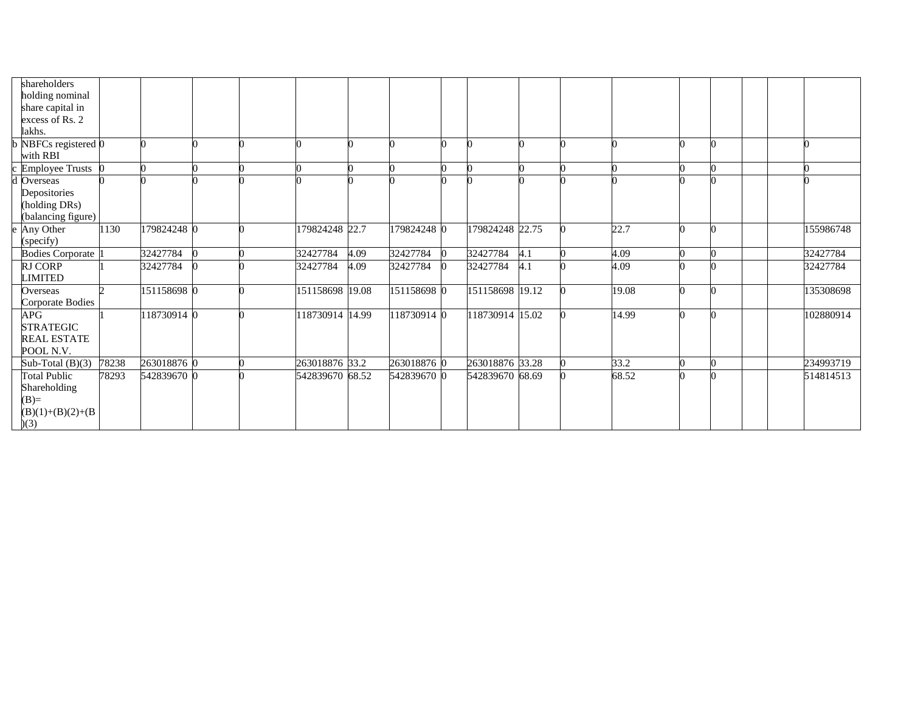| shareholders<br>holding nominal<br>share capital in                         |       |             |  |                 |      |             |                 |     |       |  |  |           |
|-----------------------------------------------------------------------------|-------|-------------|--|-----------------|------|-------------|-----------------|-----|-------|--|--|-----------|
| excess of Rs. 2                                                             |       |             |  |                 |      |             |                 |     |       |  |  |           |
| lakhs.                                                                      |       |             |  |                 |      |             |                 |     |       |  |  |           |
| NBFCs registered 0<br>with RBI                                              |       |             |  |                 |      |             |                 |     |       |  |  |           |
| <b>Employee Trusts</b>                                                      |       |             |  |                 |      |             |                 |     |       |  |  |           |
| $\sqrt{1}$ Overseas<br>Depositories<br>(holding DRs)<br>(balancing figure)  |       |             |  |                 |      |             |                 |     |       |  |  |           |
| Any Other<br>(specify)                                                      | 1130  | 179824248 0 |  | 179824248 22.7  |      | 179824248 0 | 179824248 22.75 |     | 22.7  |  |  | 155986748 |
| <b>Bodies Corporate</b> 1                                                   |       | 32427784    |  | 32427784        | 4.09 | 32427784    | 32427784        | 4.1 | 4.09  |  |  | 32427784  |
| <b>RJ CORP</b><br><b>LIMITED</b>                                            |       | 32427784    |  | 32427784        | 4.09 | 32427784    | 32427784        | 4.1 | 4.09  |  |  | 32427784  |
| Overseas<br><b>Corporate Bodies</b>                                         |       | 151158698 0 |  | 151158698 19.08 |      | 151158698 0 | 151158698 19.12 |     | 19.08 |  |  | 135308698 |
| <b>APG</b><br><b>STRATEGIC</b><br><b>REAL ESTATE</b><br>POOL N.V.           |       | 118730914 0 |  | 118730914 14.99 |      | 118730914 0 | 118730914 15.02 |     | 14.99 |  |  | 102880914 |
| Sub-Total $(B)(3)$                                                          | 78238 | 263018876 0 |  | 263018876 33.2  |      | 263018876 0 | 263018876 33.28 |     | 33.2  |  |  | 234993719 |
| <b>Total Public</b><br>Shareholding<br>$(B)=$<br>$(B)(1)+(B)(2)+(B)$<br>(3) | 78293 | 542839670 0 |  | 542839670 68.52 |      | 542839670 0 | 542839670 68.69 |     | 68.52 |  |  | 514814513 |